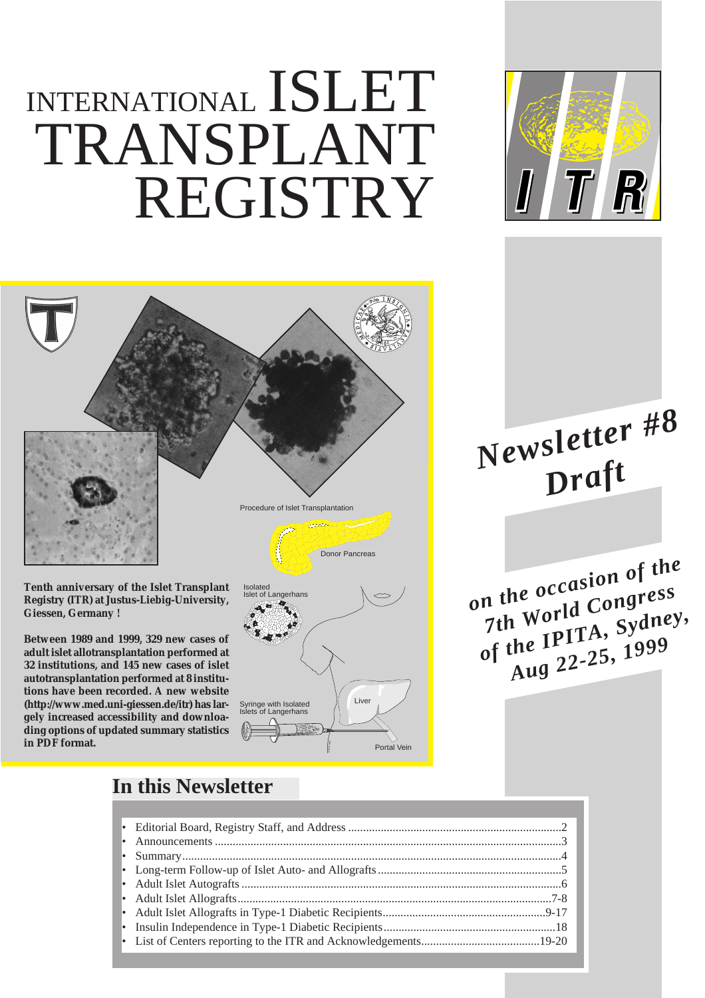# INTERNATIONAL ISLET TRANSPLANT REGISTRY





**Tenth anniversary of the Islet Transplant Registry (ITR) at Justus-Liebig-University, Giessen, Germany !**

**Between 1989 and 1999, 329 new cases of adult islet allotransplantation performed at 32 institutions, and 145 new cases of islet autotransplantation performed at 8 institutions have been recorded. A new website (http://www.med.uni-giessen.de/itr) has largely increased accessibility and downloading options of updated summary statistics in PDF format.** 



*Newsletter #8 Draft*

*on the occasion of the 7th World Congress of the IPITA, Sydney, Aug 22-25, 1999*

### **In this Newsletter**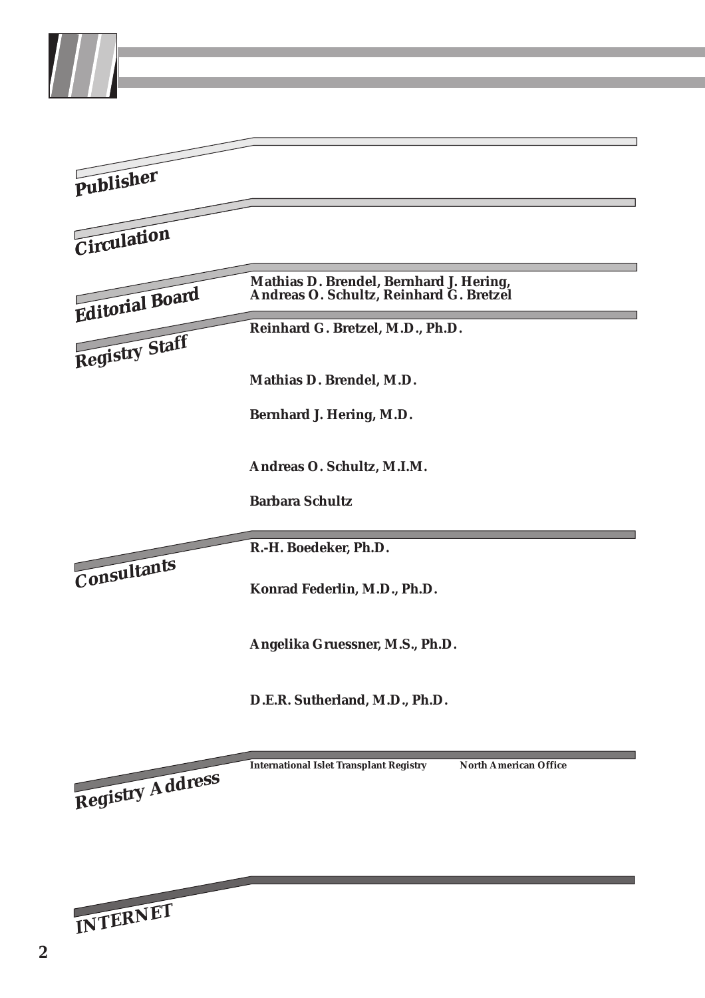| Publisher        | <b>Third Medical Department</b><br><b>Center of Internal Medicine</b><br>Justus-Liebig-University of Giessen                                                                                                                                                                                                                                                                                                                                                                                                                                                                                                                                                       |
|------------------|--------------------------------------------------------------------------------------------------------------------------------------------------------------------------------------------------------------------------------------------------------------------------------------------------------------------------------------------------------------------------------------------------------------------------------------------------------------------------------------------------------------------------------------------------------------------------------------------------------------------------------------------------------------------|
| Circulation      | The Islet Transplant Registry Newsletter is published annually<br>and distributed to all interested institutions. It is anticipated<br>that newsletter no. 9 will be issued in fall 2000.                                                                                                                                                                                                                                                                                                                                                                                                                                                                          |
| Editorial Board  | Mathias D. Brendel, Bernhard J. Hering,<br>Andreas O. Schultz, Reinhard G. Bretzel                                                                                                                                                                                                                                                                                                                                                                                                                                                                                                                                                                                 |
| Registry Staff   | Reinhard G. Bretzel, M.D., Ph.D.<br><b>Professor of Medicine</b><br>Director, International Islet Transplant Registry<br>Mathias D. Brendel, M.D.<br><b>Registry Coordinator</b><br>Bernhard J. Hering, M.D.<br>Assistant Professor of Surgery and Medicine<br><b>Director, North American Office</b><br>Andreas O. Schultz, M.L.M.<br>Registry Administrator & Programmer<br>Barbara Schultz<br><b>Registry Assistant</b>                                                                                                                                                                                                                                         |
| Consultants      | R.-H. Boedeker, Ph.D.<br>Institute of Medical Informatics, Division of Biometrics<br>Justus-Liebig-University of Giessen<br>Konrad Federlin, M.D., Ph.D.<br><b>Professor emeritus</b><br>3rd Medical Department & Policlinic<br>Justus-Liebig-University of Giessen<br>Angelika Gruessner, M.S., Ph.D.<br><b>Assistant Professor of Surgery</b><br>Scientific Director, International Pancreas Transplant Registry<br>Department of Surgery, University of Minnesota, Minneapolis<br>D.E.R. Sutherland, M.D., Ph.D.<br>Professor of Surgery<br>Director, International Pancreas Transplant Registry<br>Department of Surgery, University of Minnesota, Minneapolis |
| Registry Address | <b>International Islet Transplant Registry</b><br><b>North American Office</b><br>c/o Mathias D. Brendel, M.D.<br>c/o Bernhard J. Hering, M.D.<br><b>Third Medical Department</b><br>Department of Surgery<br>Justus-Liebig-University of Giessen<br>University of Minnesota,<br>Rodthohl 6, D-35385 Giessen, Germany<br>BOX 280 UMHC<br>Phone: +49-641-99-42 84 2<br>420 Delaware Street SE<br>+49-641-99-42 84 9<br>Fax:<br>Minneapolis, MN 55455-0392<br>E-Mail:<br>Phone: +1-612-6265697<br>mathias.brendel@innere.med.uni-giessen.de Fax:<br>+1-612-6265855<br>E-Mail: bhering@tc.umn.edu                                                                     |
| INTERNET         | http://www.med.uni-giessen.de/itr                                                                                                                                                                                                                                                                                                                                                                                                                                                                                                                                                                                                                                  |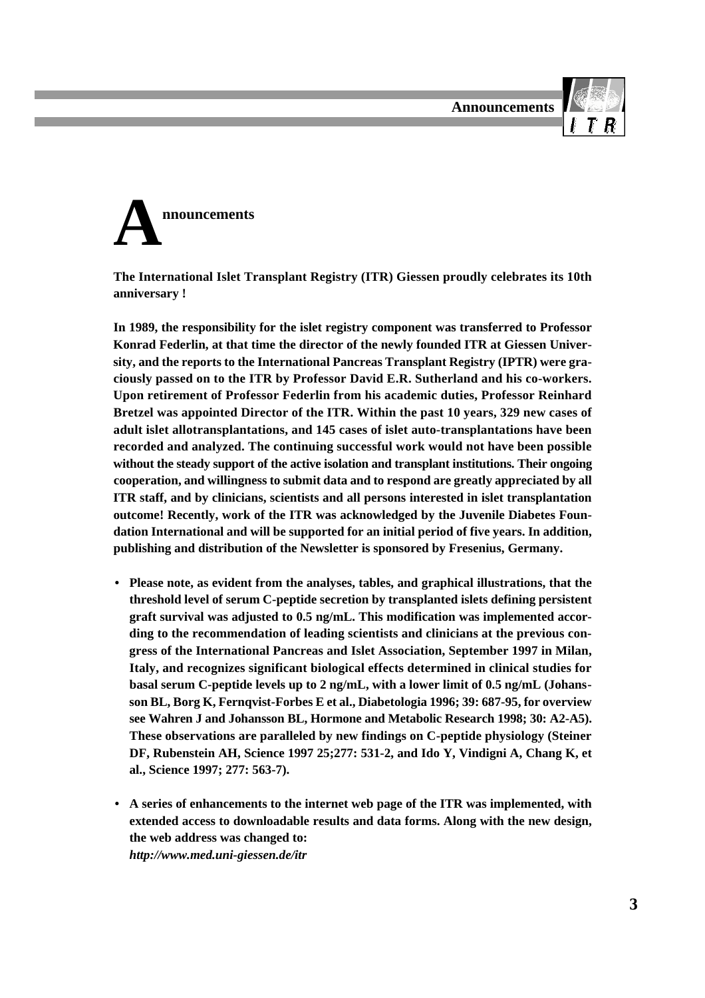



**The International Islet Transplant Registry (ITR) Giessen proudly celebrates its 10th anniversary !**

**In 1989, the responsibility for the islet registry component was transferred to Professor Konrad Federlin, at that time the director of the newly founded ITR at Giessen University, and the reports to the International Pancreas Transplant Registry (IPTR) were graciously passed on to the ITR by Professor David E.R. Sutherland and his co-workers. Upon retirement of Professor Federlin from his academic duties, Professor Reinhard Bretzel was appointed Director of the ITR. Within the past 10 years, 329 new cases of adult islet allotransplantations, and 145 cases of islet auto-transplantations have been recorded and analyzed. The continuing successful work would not have been possible without the steady support of the active isolation and transplant institutions. Their ongoing cooperation, and willingness to submit data and to respond are greatly appreciated by all ITR staff, and by clinicians, scientists and all persons interested in islet transplantation outcome! Recently, work of the ITR was acknowledged by the Juvenile Diabetes Foundation International and will be supported for an initial period of five years. In addition, publishing and distribution of the Newsletter is sponsored by Fresenius, Germany.** 

- **Please note, as evident from the analyses, tables, and graphical illustrations, that the threshold level of serum C-peptide secretion by transplanted islets defining persistent graft survival was adjusted to 0.5 ng/mL. This modification was implemented according to the recommendation of leading scientists and clinicians at the previous congress of the International Pancreas and Islet Association, September 1997 in Milan, Italy, and recognizes significant biological effects determined in clinical studies for basal serum C-peptide levels up to 2 ng/mL, with a lower limit of 0.5 ng/mL (Johansson BL, Borg K, Fernqvist-Forbes E et al., Diabetologia 1996; 39: 687-95, for overview see Wahren J and Johansson BL, Hormone and Metabolic Research 1998; 30: A2-A5). These observations are paralleled by new findings on C-peptide physiology (Steiner DF, Rubenstein AH, Science 1997 25;277: 531-2, and Ido Y, Vindigni A, Chang K, et al., Science 1997; 277: 563-7).**
- **• A series of enhancements to the internet web page of the ITR was implemented, with extended access to downloadable results and data forms. Along with the new design, the web address was changed to:**  *http://www.med.uni-giessen.de/itr*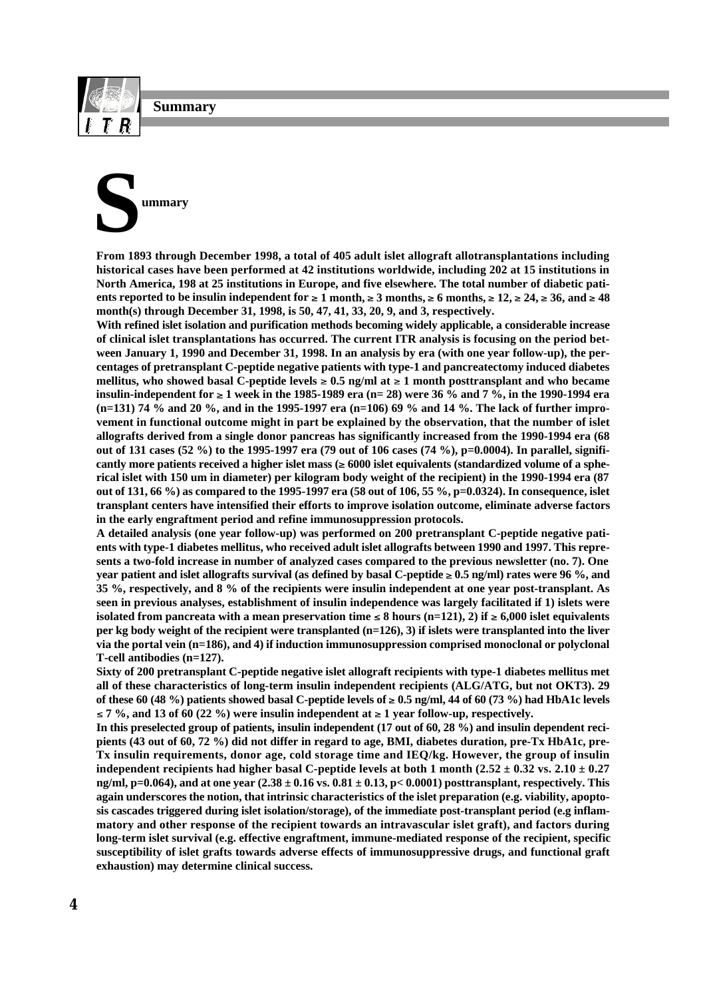**Summary**

# **S ummary**

**From 1893 through December 1998, a total of 405 adult islet allograft allotransplantations including historical cases have been performed at 42 institutions worldwide, including 202 at 15 institutions in North America, 198 at 25 institutions in Europe, and five elsewhere. The total number of diabetic pati**ents reported to be insulin independent for  $\geq 1$  month,  $\geq 3$  months,  $\geq 6$  months,  $\geq 12$ ,  $\geq 24$ ,  $\geq 36$ , and  $\geq 48$ **month(s) through December 31, 1998, is 50, 47, 41, 33, 20, 9, and 3, respectively.**

**With refined islet isolation and purification methods becoming widely applicable, a considerable increase of clinical islet transplantations has occurred. The current ITR analysis is focusing on the period between January 1, 1990 and December 31, 1998. In an analysis by era (with one year follow-up), the percentages of pretransplant C-peptide negative patients with type-1 and pancreatectomy induced diabetes** mellitus, who showed basal C-peptide levels  $\geq 0.5$  ng/ml at  $\geq 1$  month posttransplant and who became insulin-independent for  $\geq 1$  week in the 1985-1989 era (n= 28) were 36 % and 7 %, in the 1990-1994 era **(n=131) 74 % and 20 %, and in the 1995-1997 era (n=106) 69 % and 14 %. The lack of further improvement in functional outcome might in part be explained by the observation, that the number of islet allografts derived from a single donor pancreas has significantly increased from the 1990-1994 era (68 out of 131 cases (52 %) to the 1995-1997 era (79 out of 106 cases (74 %), p=0.0004). In parallel, signifi**cantly more patients received a higher islet mass  $(\geq 6000$  islet equivalents (standardized volume of a sphe**rical islet with 150 um in diameter) per kilogram body weight of the recipient) in the 1990-1994 era (87 out of 131, 66 %) as compared to the 1995-1997 era (58 out of 106, 55 %, p=0.0324). In consequence, islet transplant centers have intensified their efforts to improve isolation outcome, eliminate adverse factors in the early engraftment period and refine immunosuppression protocols.**

**A detailed analysis (one year follow-up) was performed on 200 pretransplant C-peptide negative patients with type-1 diabetes mellitus, who received adult islet allografts between 1990 and 1997. This represents a two-fold increase in number of analyzed cases compared to the previous newsletter (no. 7). One year patient and islet allografts survival (as defined by basal C-peptide**  $\geq 0.5$  **ng/ml) rates were 96 %, and 35 %, respectively, and 8 % of the recipients were insulin independent at one year post-transplant. As seen in previous analyses, establishment of insulin independence was largely facilitated if 1) islets were** isolated from pancreata with a mean preservation time  $\leq 8$  hours (n=121), 2) if  $\geq 6,000$  islet equivalents **per kg body weight of the recipient were transplanted (n=126), 3) if islets were transplanted into the liver via the portal vein (n=186), and 4) if induction immunosuppression comprised monoclonal or polyclonal T-cell antibodies (n=127).**

**Sixty of 200 pretransplant C-peptide negative islet allograft recipients with type-1 diabetes mellitus met all of these characteristics of long-term insulin independent recipients (ALG/ATG, but not OKT3). 29** of these 60 (48 %) patients showed basal C-peptide levels of  $\geq 0.5$  ng/ml, 44 of 60 (73 %) had HbA1c levels  $\leq$  7 %, and 13 of 60 (22 %) were insulin independent at  $\geq$  1 year follow-up, respectively.

**In this preselected group of patients, insulin independent (17 out of 60, 28 %) and insulin dependent recipients (43 out of 60, 72 %) did not differ in regard to age, BMI, diabetes duration, pre-Tx HbA1c, pre-Tx insulin requirements, donor age, cold storage time and IEQ/kg. However, the group of insulin independent recipients had higher basal C-peptide levels at both 1 month (2.52**  $\pm$  **0.32 vs. 2.10**  $\pm$  **0.27 ng/ml, p=0.064), and at one year (2.38 ± 0.16 vs. 0.81 ± 0.13, p< 0.0001) posttransplant, respectively. This again underscores the notion, that intrinsic characteristics of the islet preparation (e.g. viability, apoptosis cascades triggered during islet isolation/storage), of the immediate post-transplant period (e.g inflammatory and other response of the recipient towards an intravascular islet graft), and factors during long-term islet survival (e.g. effective engraftment, immune-mediated response of the recipient, specific susceptibility of islet grafts towards adverse effects of immunosuppressive drugs, and functional graft exhaustion) may determine clinical success.**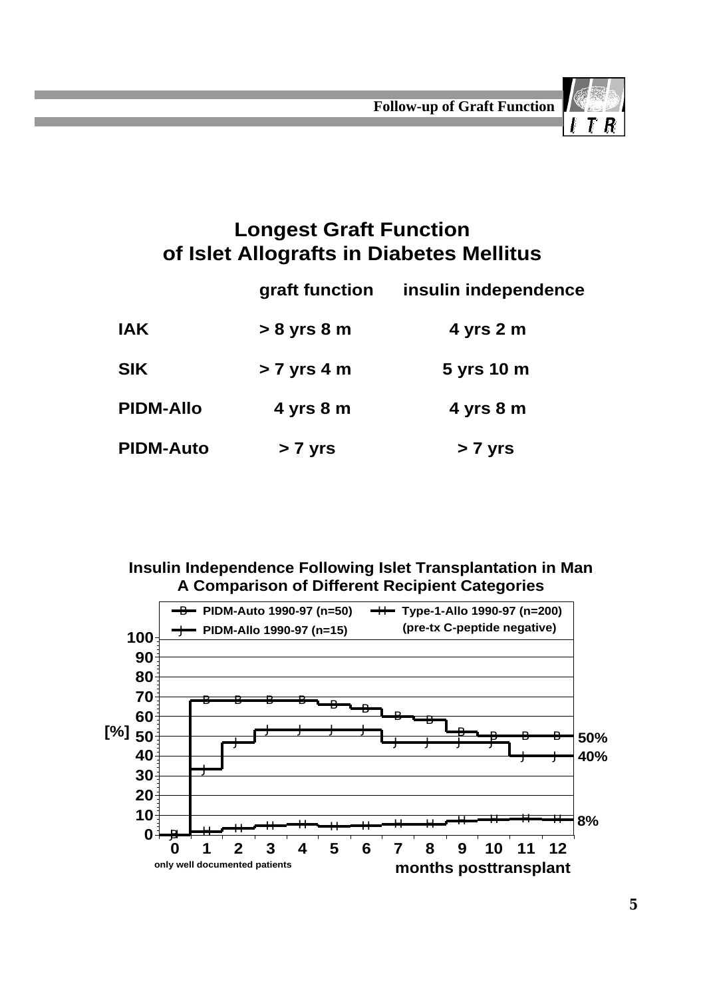

## **Longest Graft Function of Islet Allografts in Diabetes Mellitus**

|                  | graft function | insulin independence |
|------------------|----------------|----------------------|
| <b>IAK</b>       | $> 8$ yrs $8m$ | $4$ yrs $2m$         |
| <b>SIK</b>       | $> 7$ yrs 4 m  | 5 yrs 10 m           |
| <b>PIDM-Allo</b> | $4$ yrs $8m$   | $4$ yrs $8m$         |
| <b>PIDM-Auto</b> | > 7 yrs        | > 7 yrs              |

#### **Insulin Independence Following Islet Transplantation in Man A Comparison of Different Recipient Categories**

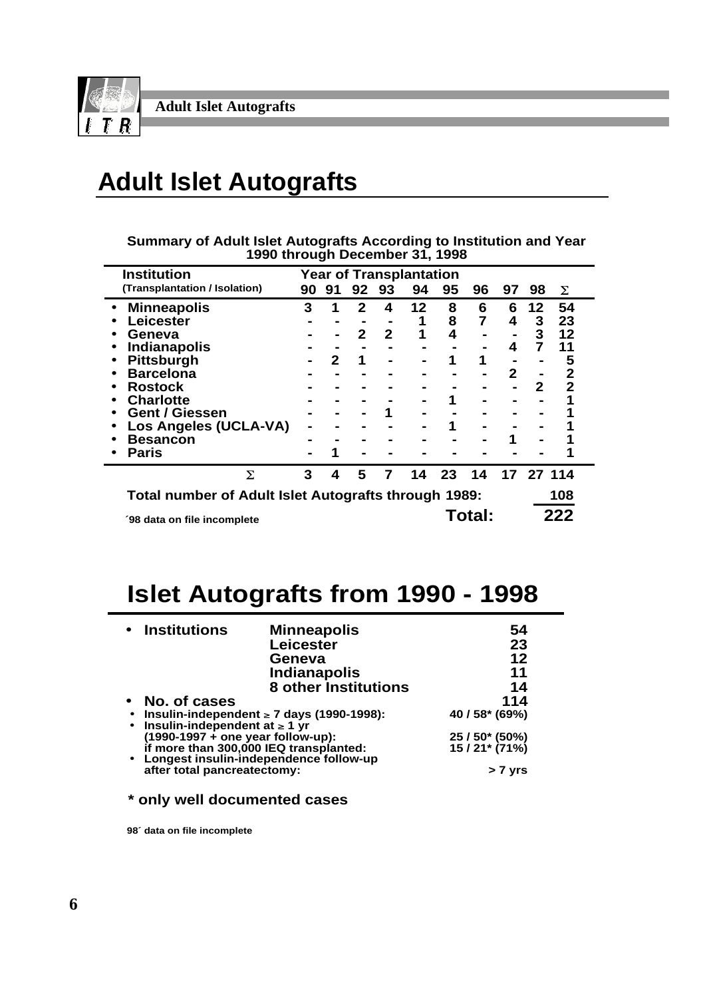

# **Adult Islet Autografts**

| Summary of Adult Islet Autografts According to Institution and Year |  |
|---------------------------------------------------------------------|--|
| 1990 through December 31, 1998                                      |  |

| <b>Institution</b>                                   |    |    |    |    | <b>Year of Transplantation</b> |    |        |    |           |     |  |
|------------------------------------------------------|----|----|----|----|--------------------------------|----|--------|----|-----------|-----|--|
| (Transplantation / Isolation)                        | 90 | 91 | 92 | 93 | 94                             | 95 | 96     | 97 | 98        | Σ   |  |
| <b>Minneapolis</b>                                   | 3  |    | 2  | 4  | 12                             | 8  | 6      | 6  | 12        | 54  |  |
| Leicester                                            |    |    |    |    | 1                              | 8  |        | 4  | 3         | 23  |  |
| Geneva                                               |    |    | 2  | 2  | 1                              | 4  |        |    | 3         | 12  |  |
| <b>Indianapolis</b>                                  |    |    |    |    |                                |    |        | 4  | 7         | 11  |  |
| <b>Pittsburgh</b>                                    |    | 2  | 1  |    |                                |    |        |    |           | 5   |  |
| <b>Barcelona</b>                                     |    |    |    |    |                                |    |        | 2  |           | 2   |  |
| Rostock                                              |    |    |    |    |                                |    |        |    | 2         | 2   |  |
| <b>Charlotte</b>                                     |    |    |    |    |                                |    |        |    |           |     |  |
| <b>Gent / Giessen</b>                                |    |    |    |    |                                |    |        |    |           |     |  |
| Los Angeles (UCLA-VA)                                |    |    |    |    |                                |    |        |    |           |     |  |
| <b>Besancon</b>                                      |    |    |    |    |                                |    |        |    |           |     |  |
| <b>Paris</b>                                         |    |    |    |    |                                |    |        |    |           |     |  |
| Σ                                                    | 3  | 4  | 5  | 7  | 14                             | 23 | 14     |    | 17 27 114 |     |  |
| Total number of Adult Islet Autografts through 1989: |    |    |    |    |                                |    |        |    |           | 108 |  |
| '98 data on file incomplete                          |    |    |    |    |                                |    | Total: |    |           | 222 |  |

## **Islet Autografts from 1990 - 1998**

| • Institutions                         | <b>Minneapolis</b>                             | 54                               |
|----------------------------------------|------------------------------------------------|----------------------------------|
|                                        | <b>Leicester</b>                               | 23                               |
|                                        | Geneva                                         | 12                               |
|                                        | <b>Indianapolis</b>                            | 11                               |
|                                        | <b>8 other Institutions</b>                    | 14                               |
| No. of cases                           |                                                | 114                              |
| Insulin-independent at $\geq 1$ yr     | Insulin-independent $\geq 7$ days (1990-1998): | 40 / 58* (69%)                   |
| $(1990-1997 +$ one year follow-up):    |                                                |                                  |
| if more than 300,000 IEQ transplanted: | • Longest insulin-independence follow-up       | 25 / 50* (50%)<br>15 / 21* (71%) |
| after total pancreatectomy:            |                                                | > 7 yrs                          |

**\* only well documented cases**

**98´ data on file incomplete**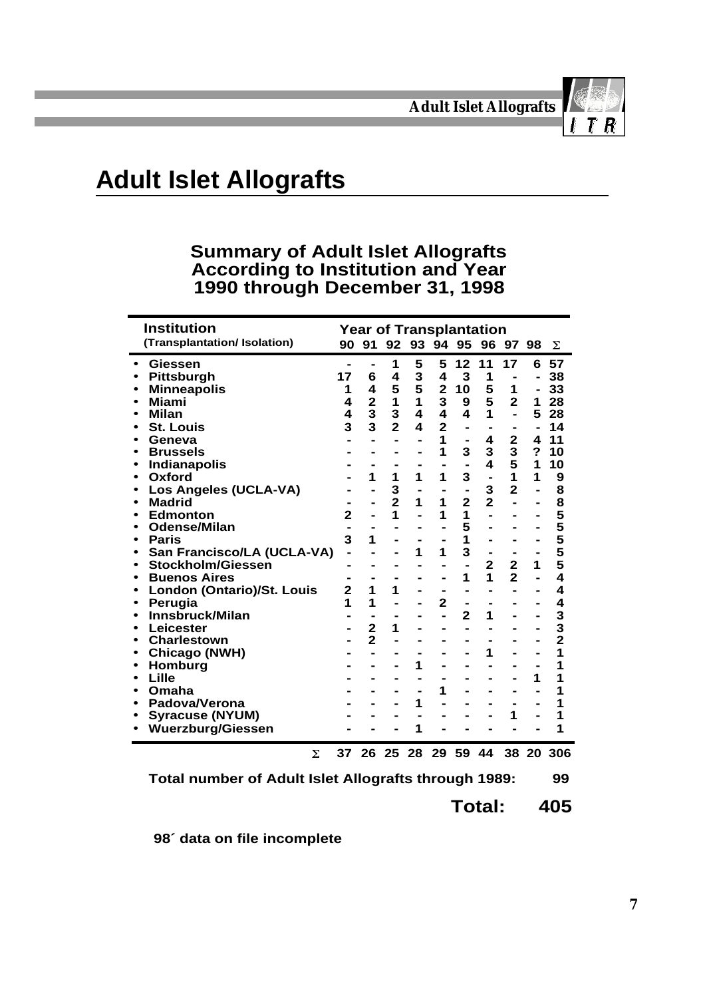

## **Adult Islet Allografts**

#### **Summary of Adult Islet Allografts According to Institution and Year 1990 through December 31, 1998**

| <b>Institution</b>           |    |                         | <b>Year of Transplantation</b> |                         |                         |                |                         |                |                         |               |
|------------------------------|----|-------------------------|--------------------------------|-------------------------|-------------------------|----------------|-------------------------|----------------|-------------------------|---------------|
| (Transplantation/ Isolation) |    | 90 91                   | 92 93 94 95 96 97 98           |                         |                         |                |                         |                |                         | Σ             |
| Giessen                      |    |                         | 1                              | 5                       | 5                       | 12             | 11                      | 17             | 6                       | 57            |
| <b>Pittsburgh</b>            | 17 | 6                       | $\overline{\mathbf{4}}$        | 3                       | 4                       | 3              | 1                       | $\blacksquare$ | $\blacksquare$          | 38            |
| <b>Minneapolis</b>           | 1  | $\overline{\mathbf{4}}$ | 5                              | 5                       | $\overline{\mathbf{2}}$ | 10             | 5                       | 1              | $\blacksquare$          | 33            |
| <b>Miami</b>                 | 4  | $\overline{\mathbf{2}}$ | $\mathbf{1}$                   | 1                       | 3                       | 9              | 5                       | $\overline{2}$ | 1                       | 28            |
| <b>Milan</b>                 | 4  | 3                       | 3                              | 4                       | 4                       | 4              | 1                       | $\blacksquare$ | 5                       | 28            |
| <b>St. Louis</b>             | 3  | 3                       | $\overline{2}$                 | $\overline{\mathbf{4}}$ | $\overline{2}$          | $\blacksquare$ | $\blacksquare$          |                | $\blacksquare$          | 14            |
| Geneva                       |    |                         |                                |                         | 1                       | $\blacksquare$ | 4                       | $\mathbf 2$    | $\overline{\mathbf{4}}$ | 11            |
| <b>Brussels</b>              |    |                         |                                |                         | 1                       | 3              | 3                       | 3              | $\overline{\mathbf{?}}$ | 10            |
| <b>Indianapolis</b>          |    |                         |                                |                         |                         |                | $\overline{\mathbf{4}}$ | 5              | 1                       | 10            |
| Oxford                       |    | 1                       | 1                              | 1                       | 1                       | 3              |                         | 1              | 1                       | 9             |
| Los Angeles (UCLA-VA)        |    |                         | 3                              |                         | -                       | $\blacksquare$ | 3                       | $\overline{2}$ | L,                      |               |
| <b>Madrid</b>                |    |                         | $\overline{2}$                 | 1                       | 1                       | $\overline{2}$ | $\overline{2}$          |                | $\blacksquare$          |               |
| <b>Edmonton</b>              | 2  |                         | 1                              |                         | 1                       | 1              |                         |                |                         |               |
| <b>Odense/Milan</b>          |    |                         |                                |                         |                         | 5              |                         |                |                         |               |
| <b>Paris</b>                 | 3  | 1                       |                                |                         |                         | 1              |                         |                |                         |               |
| San Francisco/LA (UCLA-VA)   |    |                         |                                | 1                       | 1                       | 3              | $\blacksquare$          | $\blacksquare$ | $\blacksquare$          | 88555555      |
| Stockholm/Giessen            |    |                         |                                |                         |                         | $\blacksquare$ | $\overline{2}$          | $\overline{2}$ | 1                       |               |
| <b>Buenos Aires</b>          |    |                         |                                |                         |                         | 1              | 1                       | $\overline{2}$ |                         | 4             |
| London (Ontario)/St. Louis   | 2  | 1                       | 1                              |                         | -                       |                |                         |                |                         | 4             |
| Perugia                      | 1  | 1                       |                                |                         | $\overline{2}$          | $\blacksquare$ |                         |                |                         | 4             |
| Innsbruck/Milan              |    |                         |                                |                         | $\blacksquare$          | $\overline{2}$ | 1                       |                |                         | $\frac{3}{2}$ |
| Leicester                    |    | $\overline{\mathbf{2}}$ | 1                              |                         |                         |                |                         |                |                         |               |
| <b>Charlestown</b>           |    | $\overline{2}$          |                                |                         |                         |                |                         |                |                         |               |
| Chicago (NWH)                |    |                         |                                |                         |                         |                | 1                       |                |                         | 1             |
| Homburg                      |    |                         |                                | 1                       |                         |                |                         |                |                         | 1             |
| Lille                        |    |                         |                                |                         |                         |                |                         |                | 1                       | 1             |
| Omaha                        |    |                         |                                |                         | 1                       |                |                         |                |                         | 1             |
| Padova/Verona                |    |                         |                                | 1                       |                         |                |                         |                |                         |               |
| <b>Syracuse (NYUM)</b>       |    |                         |                                |                         |                         |                |                         | 1              |                         | 1             |
| <b>Wuerzburg/Giessen</b>     |    |                         |                                | 1                       |                         |                |                         |                |                         | 1             |
| Σ                            | 37 | 26                      | -25                            | 28                      | 29                      | 59             | 44                      | 38             | -20                     | 306           |
| ┯.<br>£ A J. L. L            |    |                         | ££.                            | AL.                     |                         |                | $-1.1000$               |                |                         |               |

**Total number of Adult Islet Allografts through 1989: 99**

**Total: 405**

**98´ data on file incomplete**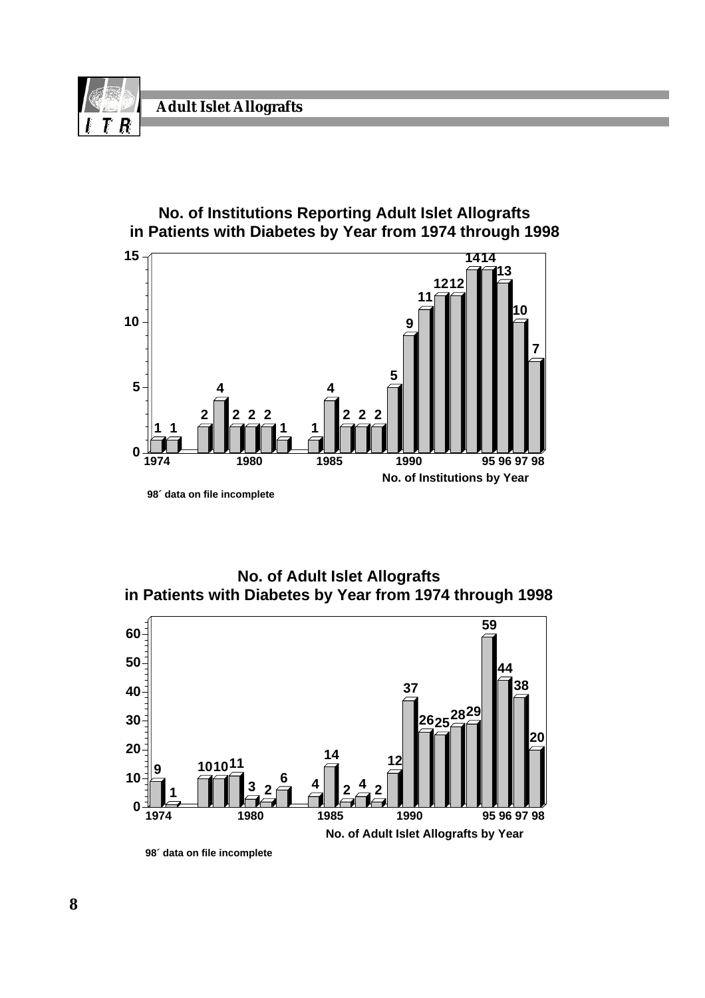

#### **No. of Institutions Reporting Adult Islet Allografts in Patients with Diabetes by Year from 1974 through 1998**



**No. of Adult Islet Allografts in Patients with Diabetes by Year from 1974 through 1998**



**<sup>98´</sup> data on file incomplete**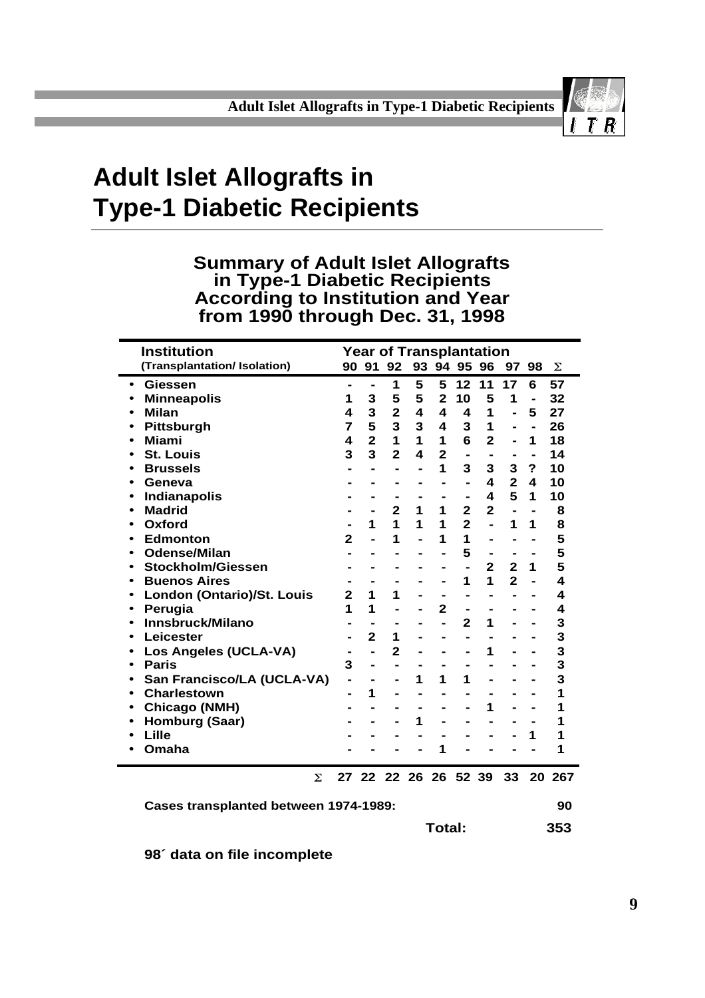

# **Adult Islet Allografts in Type-1 Diabetic Recipients**

#### **Summary of Adult Islet Allografts in Type-1 Diabetic Recipients According to Institution and Year from 1990 through Dec. 31, 1998**

| <b>Institution</b>                    |                         |                |                | <b>Year of Transplantation</b> |                |                          |                              |                         |                              |     |
|---------------------------------------|-------------------------|----------------|----------------|--------------------------------|----------------|--------------------------|------------------------------|-------------------------|------------------------------|-----|
| (Transplantation/ Isolation)          |                         |                |                | 90 91 92 93 94 95 96           |                |                          |                              |                         | 97 98                        | Σ   |
| <b>Giessen</b><br>$\bullet$           | $\blacksquare$          | -              | 1              | 5                              | 5              | 12 <sub>2</sub>          | 11                           | 17                      | 6                            | 57  |
| <b>Minneapolis</b>                    | 1                       | 3              | 5              | 5                              | $\overline{2}$ | 10                       | 5                            | 1                       |                              | 32  |
| <b>Milan</b><br>$\bullet$             | 4                       | 3              | $\overline{2}$ | 4                              | 4              | 4                        | 1                            |                         | 5                            | 27  |
| Pittsburgh                            | 7                       | 5              | 3              | 3                              | 4              | 3                        | 1                            |                         | $\qquad \qquad \blacksquare$ | 26  |
| <b>Miami</b><br>٠                     | 4                       | $\overline{2}$ | 1              | $\mathbf{1}$                   | $\mathbf 1$    | 6                        | $\overline{2}$               | $\blacksquare$          | 1                            | 18  |
| <b>St. Louis</b>                      | 3                       | 3              | $\mathbf{2}$   | 4                              | $\overline{2}$ | $\blacksquare$           |                              |                         |                              | 14  |
| <b>Brussels</b>                       |                         |                | $\blacksquare$ |                                | 1              | 3                        | 3                            | 3                       | ?                            | 10  |
| Geneva                                |                         |                |                |                                | $\blacksquare$ | $\blacksquare$           | 4                            | $\overline{2}$          | $\blacktriangle$             | 10  |
| <b>Indianapolis</b><br>٠              |                         |                |                |                                |                | $\blacksquare$           | 4                            | 5                       | 1                            | 10  |
| <b>Madrid</b><br>٠                    |                         |                | $\overline{2}$ | 1                              | 1              | $\overline{2}$           | $\overline{2}$               | $\blacksquare$          | $\blacksquare$               | 8   |
| Oxford<br>$\bullet$                   |                         | 1              | 1              | 1                              | 1              | $\overline{2}$           | $\overline{a}$               | 1                       | 1                            | 8   |
| <b>Edmonton</b><br>٠                  | $\mathbf{2}$            |                | 1              |                                | 1              | 1                        | $\blacksquare$               | $\blacksquare$          | $\blacksquare$               | 5   |
| <b>Odense/Milan</b><br>٠              |                         |                |                |                                | $\blacksquare$ | 5                        | $\qquad \qquad \blacksquare$ |                         | $\blacksquare$               | 5   |
| <b>Stockholm/Giessen</b><br>$\bullet$ |                         |                |                |                                | -              | $\overline{\phantom{0}}$ | $\overline{2}$               | $\overline{\mathbf{2}}$ | 1                            | 5   |
| <b>Buenos Aires</b>                   |                         |                |                |                                | -              | 1                        | 1                            | $\overline{2}$          |                              | 4   |
| London (Ontario)/St. Louis<br>٠       | $\overline{\mathbf{2}}$ | 1              | 1              |                                | -              | $\blacksquare$           | $\blacksquare$               |                         |                              | 4   |
| Perugia<br>٠                          | 1                       | 1              |                |                                | $\overline{2}$ | -                        |                              |                         |                              | 4   |
| Innsbruck/Milano<br>$\bullet$         |                         |                |                |                                | ä,             | $\mathbf{2}$             | 1                            |                         |                              | 3   |
| Leicester                             |                         | $\overline{2}$ | 1              |                                |                |                          |                              |                         |                              | 3   |
| <b>Los Angeles (UCLA-VA)</b><br>٠     |                         |                | $\mathbf{2}$   |                                |                | $\blacksquare$           | 1                            |                         |                              | 3   |
| <b>Paris</b><br>$\bullet$             | 3                       | -              | $\blacksquare$ |                                |                |                          |                              |                         |                              | 3   |
| San Francisco/LA (UCLA-VA)<br>٠       |                         |                |                | 1                              | 1              | 1                        |                              |                         |                              | 3   |
| <b>Charlestown</b><br>$\bullet$       |                         | 1              |                |                                |                |                          |                              |                         |                              | 1   |
| <b>Chicago (NMH)</b><br>٠             |                         |                |                |                                |                |                          | 1                            |                         |                              | 1   |
| Homburg (Saar)<br>$\bullet$           |                         |                |                | 1                              |                |                          |                              |                         |                              | 1   |
| Lille                                 |                         |                |                |                                |                |                          |                              |                         | 1                            | 1   |
| Omaha                                 |                         |                |                |                                | 1              |                          |                              |                         |                              | 1   |
| Σ                                     |                         |                |                | 27 22 22 26 26 52 39           |                |                          |                              | 33                      | 20                           | 267 |
| Cases transplanted between 1974-1989: |                         |                |                |                                |                |                          |                              |                         |                              | 90  |
|                                       |                         |                |                |                                | Total:         |                          |                              |                         |                              | 353 |

**98´ data on file incomplete**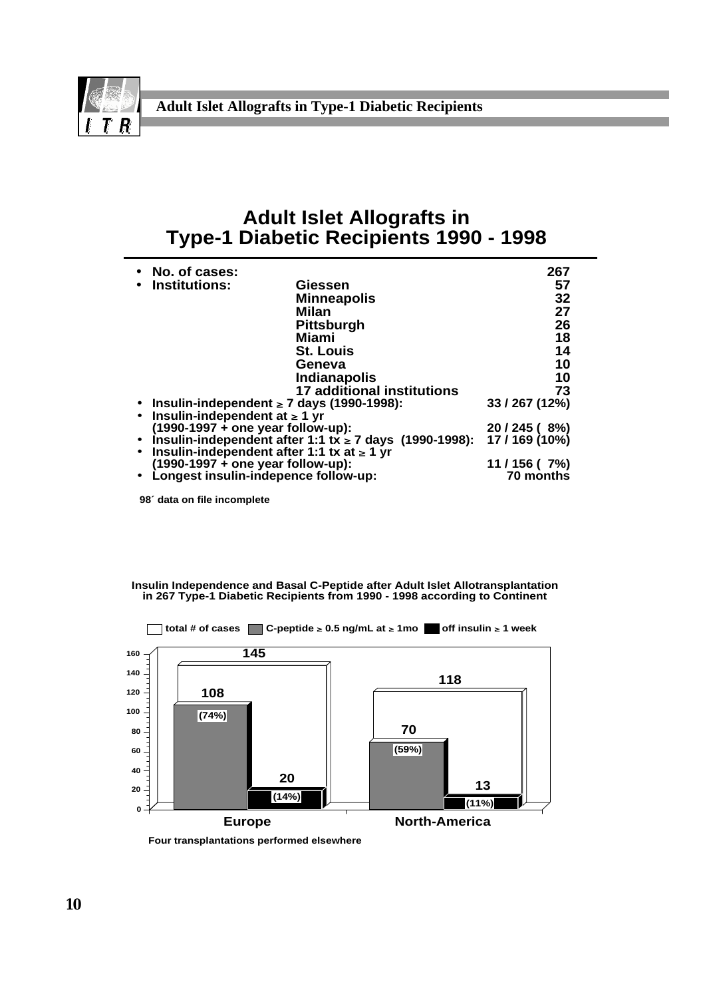

#### **Adult Islet Allografts in Type-1 Diabetic Recipients 1990 - 1998**

| • No. of cases:                                  |                                                               | 267            |
|--------------------------------------------------|---------------------------------------------------------------|----------------|
| • Institutions:                                  | Giessen                                                       | 57             |
|                                                  | <b>Minneapolis</b>                                            | 32             |
|                                                  | Milan                                                         | 27             |
|                                                  | <b>Pittsburgh</b>                                             | 26             |
|                                                  | Miami                                                         | 18             |
|                                                  | <b>St. Louis</b>                                              | 14             |
|                                                  | Geneva                                                        | 10             |
|                                                  | <b>Indianapolis</b>                                           | 10             |
|                                                  | <b>17 additional institutions</b>                             | 73             |
| • Insulin-independent $\geq 7$ days (1990-1998): |                                                               | 33 / 267 (12%) |
| Insulin-independent at $\geq 1$ yr               |                                                               |                |
| $(1990-1997 +$ one year follow-up):              |                                                               | 20 / 245 (8%)  |
|                                                  | • Insulin-independent after 1:1 tx $\geq$ 7 days (1990-1998): | 17 / 169 (10%) |
| Insulin-independent after 1:1 tx at $\geq 1$ yr  |                                                               |                |
| $(1990-1997 + one year follow-up):$              |                                                               | 11/156(7%)     |
| Longest insulin-indepence follow-up:             |                                                               | 70 months      |

**98´ data on file incomplete**

**Insulin Independence and Basal C-Peptide after Adult Islet Allotransplantation in 267 Type-1 Diabetic Recipients from 1990 - 1998 according to Continent**



**Four transplantations performed elsewhere**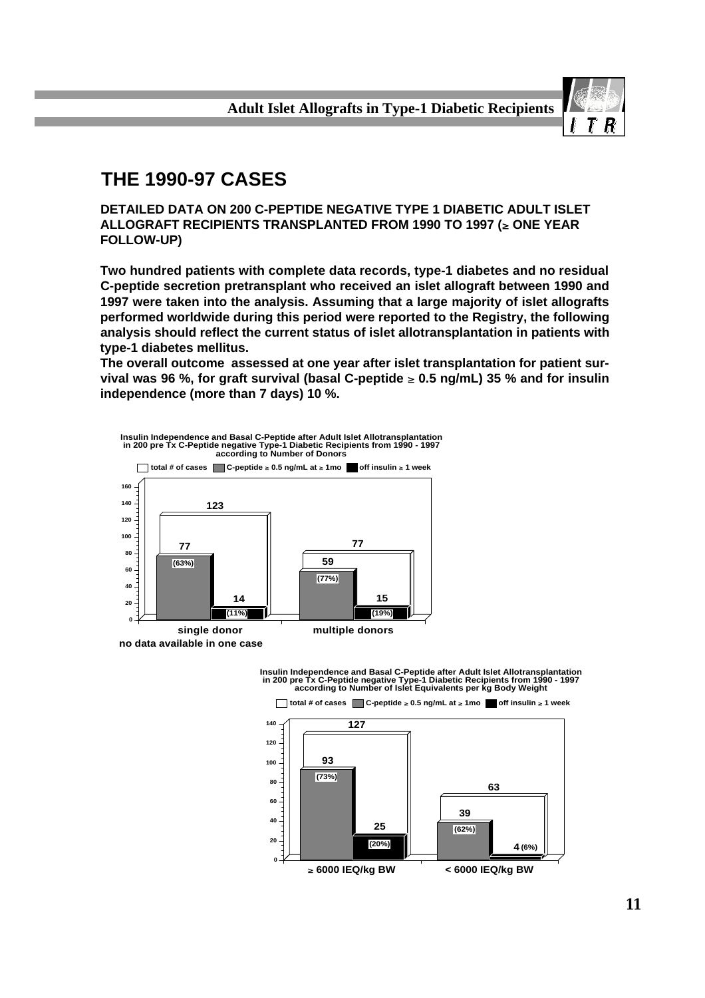

## **THE 1990-97 CASES**

**DETAILED DATA ON 200 C-PEPTIDE NEGATIVE TYPE 1 DIABETIC ADULT ISLET ALLOGRAFT RECIPIENTS TRANSPLANTED FROM 1990 TO 1997 (≥ ONE YEAR FOLLOW-UP)**

**Two hundred patients with complete data records, type-1 diabetes and no residual C-peptide secretion pretransplant who received an islet allograft between 1990 and 1997 were taken into the analysis. Assuming that a large majority of islet allografts performed worldwide during this period were reported to the Registry, the following analysis should reflect the current status of islet allotransplantation in patients with type-1 diabetes mellitus.**

**The overall outcome assessed at one year after islet transplantation for patient sur**vival was 96 %, for graft survival (basal C-peptide  $\geq 0.5$  ng/mL) 35 % and for insulin **independence (more than 7 days) 10 %.**





Insulin Independence and Basal C-Peptide after Adult Islet Allotransplantation<br>in 200 pre Tx C-Peptide negative Type-1 Diabetic Recipients from 1990 - 1997<br>according to Number of Islet Equivalents per kg Body Weight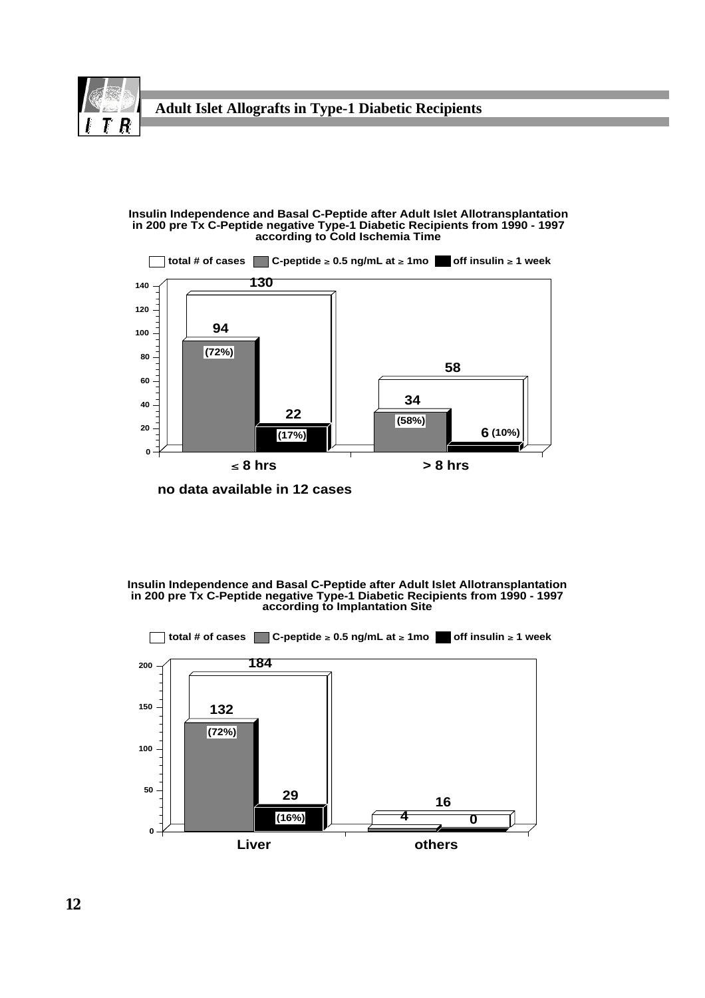

#### **Insulin Independence and Basal C-Peptide after Adult Islet Allotransplantation in 200 pre Tx C-Peptide negative Type-1 Diabetic Recipients from 1990 - 1997 according to Cold Ischemia Time**



**no data available in 12 cases**

#### **Insulin Independence and Basal C-Peptide after Adult Islet Allotransplantation in 200 pre Tx C-Peptide negative Type-1 Diabetic Recipients from 1990 - 1997 according to Implantation Site**

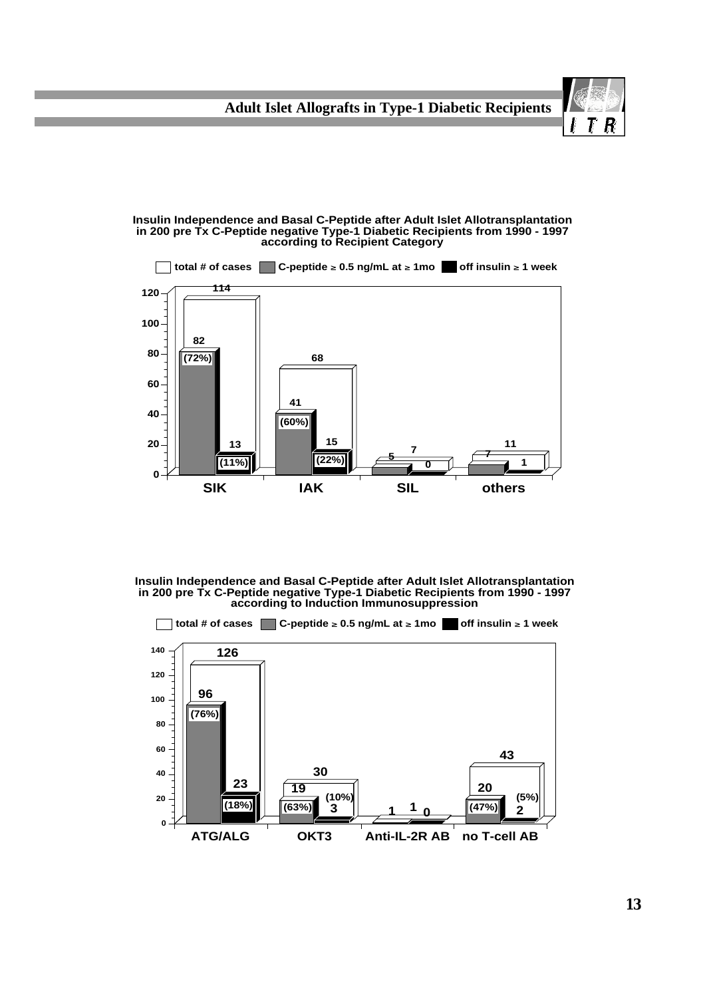



**Insulin Independence and Basal C-Peptide after Adult Islet Allotransplantation in 200 pre Tx C-Peptide negative Type-1 Diabetic Recipients from 1990 - 1997 according to Induction Immunosuppression**



R Г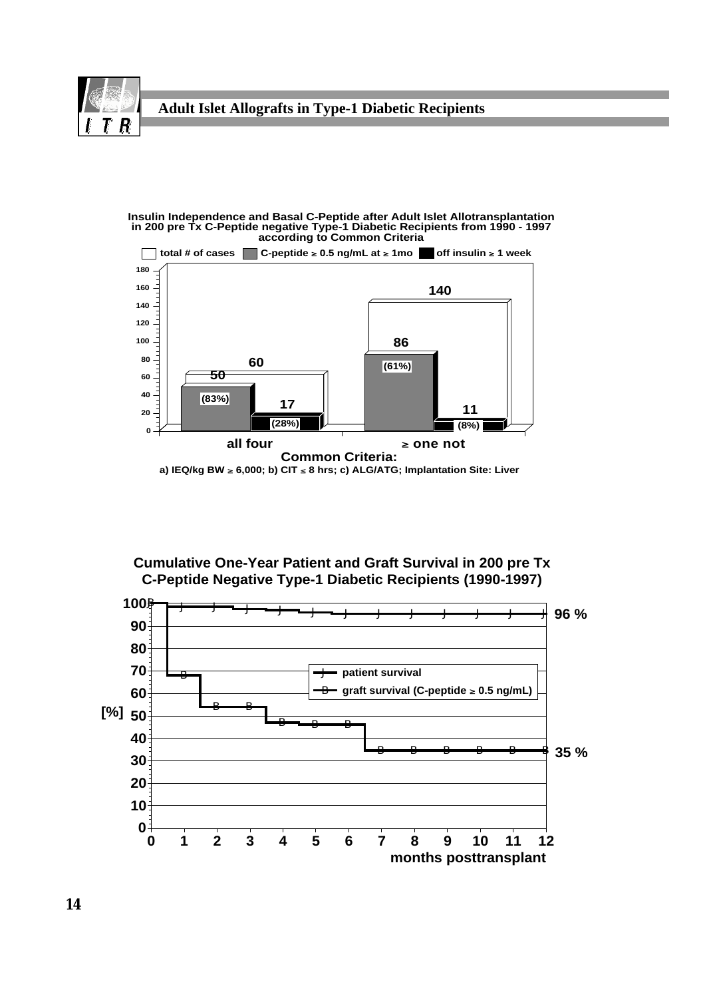





a) IEQ/kg BW ≥ 6,000; b) CIT ≤ 8 hrs; c) ALG/ATG; Implantation Site: Liver

**Cumulative One-Year Patient and Graft Survival in 200 pre Tx C-Peptide Negative Type-1 Diabetic Recipients (1990-1997)**

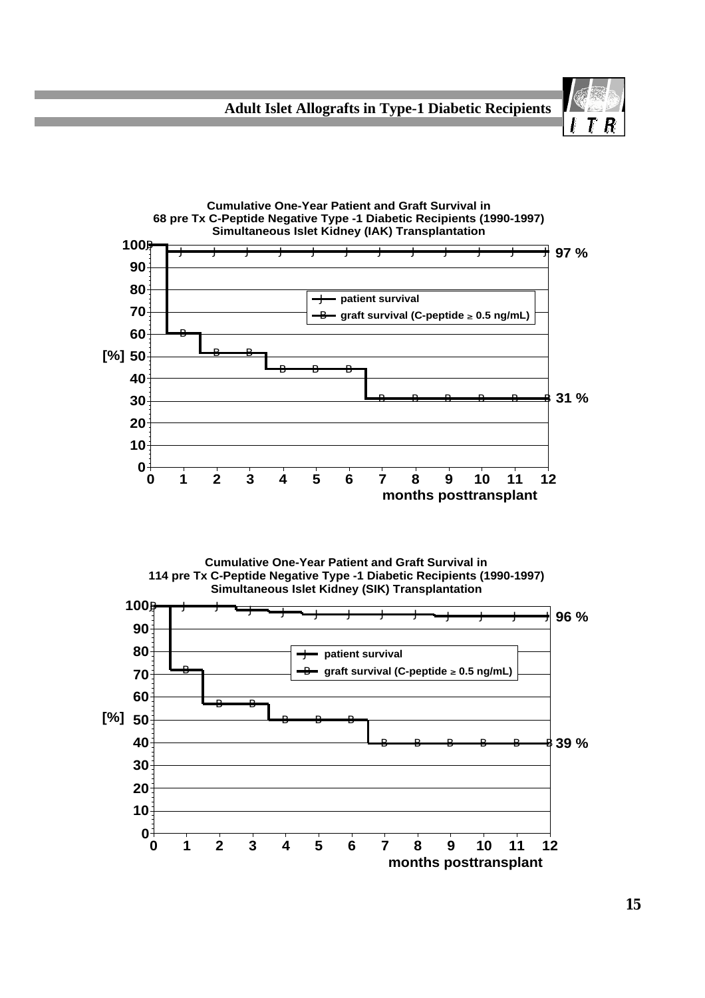



**Cumulative One-Year Patient and Graft Survival in 114 pre Tx C-Peptide Negative Type -1 Diabetic Recipients (1990-1997) Simultaneous Islet Kidney (SIK) Transplantation**

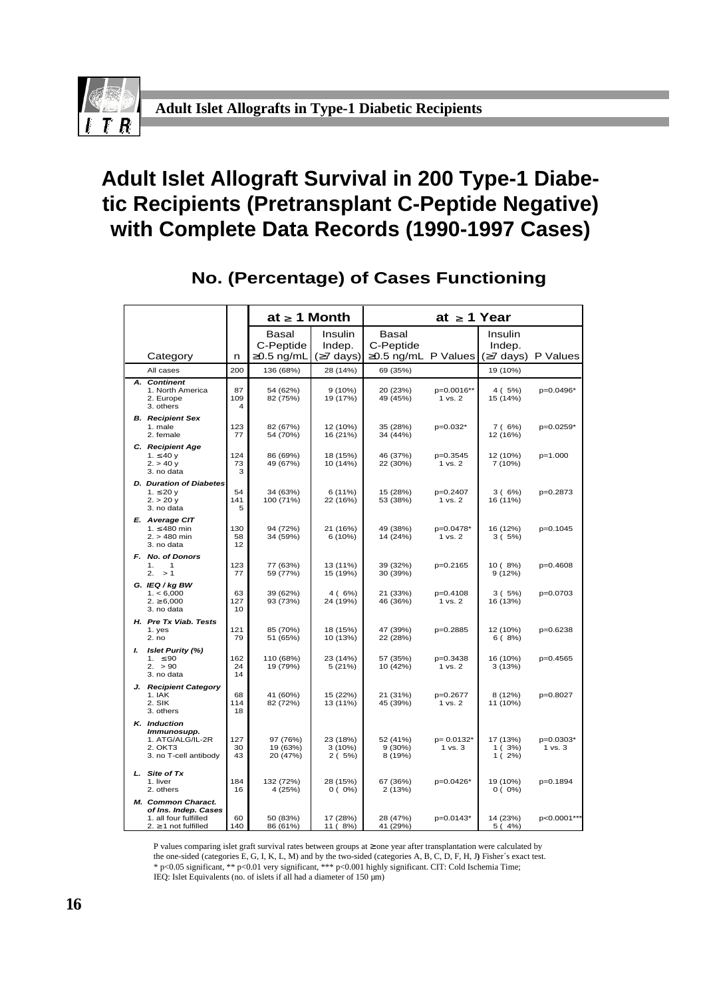

## **Adult Islet Allograft Survival in 200 Type-1 Diabetic Recipients (Pretransplant C-Peptide Negative) with Complete Data Records (1990-1997 Cases)**

|                                                                                              |                 | $at \geq 1$ Month                |                             |                               | at $\geq 1$ Year         |                               |                      |
|----------------------------------------------------------------------------------------------|-----------------|----------------------------------|-----------------------------|-------------------------------|--------------------------|-------------------------------|----------------------|
|                                                                                              |                 | Basal<br>C-Peptide               | Insulin<br>Indep.           | Basal<br>C-Peptide            |                          | Insulin<br>Indep.             |                      |
| Category                                                                                     | n               | $0.5$ ng/mL                      | 7 days)                     | 0.5 ng/mL P Values            |                          | $(7 \text{ days})$            | P Values             |
| All cases                                                                                    | 200             | 136 (68%)                        | 28 (14%)                    | 69 (35%)                      |                          | 19 (10%)                      |                      |
| A. Continent<br>1. North America<br>2. Europe<br>3. others                                   | 87<br>109<br>4  | 54 (62%)<br>82 (75%)             | 9(10%)<br>19 (17%)          | 20 (23%)<br>49 (45%)          | p=0.0016**<br>1 vs. 2    | 4 (5%)<br>15 (14%)            | p=0.0496*            |
| <b>B.</b> Recipient Sex<br>1. male<br>2. female                                              | 123<br>77       | 82 (67%)<br>54 (70%)             | 12 (10%)<br>16 (21%)        | 35 (28%)<br>34 (44%)          | p=0.032*                 | 7(6%)<br>12 (16%)             | p=0.0259*            |
| C. Recipient Age<br>1. $40y$<br>2. > 40 y<br>3. no data                                      | 124<br>73<br>3  | 86 (69%)<br>49 (67%)             | 18 (15%)<br>10 (14%)        | 46 (37%)<br>22 (30%)          | p=0.3545<br>1 vs. 2      | 12 (10%)<br>7 (10%)           | p=1.000              |
| <b>D.</b> Duration of Diabetes<br>1. 20 $y$<br>$2. > 20$ y<br>3. no data                     | 54<br>141<br>5  | 34 (63%)<br>100 (71%)            | 6(11%)<br>22 (16%)          | 15 (28%)<br>53 (38%)          | p=0.2407<br>1 vs. 2      | 3(6%)<br>16 (11%)             | p=0.2873             |
| E. Average CIT<br>1. 480 min<br>$2. > 480$ min<br>3. no data                                 | 130<br>58<br>12 | 94 (72%)<br>34 (59%)             | 21 (16%)<br>6 (10%)         | 49 (38%)<br>14 (24%)          | p=0.0478*<br>1 vs. 2     | 16 (12%)<br>3(5%)             | p=0.1045             |
| F. No. of Donors<br>1.<br>$\mathbf{1}$<br>2. > 1                                             | 123<br>77       | 77 (63%)<br>59 (77%)             | 13 (11%)<br>15 (19%)        | 39 (32%)<br>30 (39%)          | p=0.2165                 | 10 (8%)<br>9(12%)             | p=0.4608             |
| G. IEQ / kg BW<br>1. < 6,000<br>2. 6,000<br>3. no data                                       | 63<br>127<br>10 | 39 (62%)<br>93 (73%)             | 4(6%)<br>24 (19%)           | 21 (33%)<br>46 (36%)          | p=0.4108<br>1 vs. 2      | 3(5%)<br>16 (13%)             | p=0.0703             |
| H. Pre Tx Viab. Tests<br>1. yes<br>2. no                                                     | 121<br>79       | 85 (70%)<br>51 (65%)             | 18 (15%)<br>10 (13%)        | 47 (39%)<br>22 (28%)          | p=0.2885                 | 12 (10%)<br>6(8%)             | p=0.6238             |
| I. Islet Purity (%)<br>1.<br>90<br>2. > 90<br>3. no data                                     | 162<br>24<br>14 | 110 (68%)<br>19 (79%)            | 23 (14%)<br>5(21%)          | 57 (35%)<br>10 (42%)          | p=0.3438<br>1 vs. 2      | 16 (10%)<br>3(13%)            | p=0.4565             |
| J. Recipient Category<br>1. IAK<br>2. SIK<br>3. others                                       | 68<br>114<br>18 | 41 (60%)<br>82 (72%)             | 15 (22%)<br>13 (11%)        | 21 (31%)<br>45 (39%)          | p=0.2677<br>1 vs. 2      | 8 (12%)<br>11 (10%)           | p=0.8027             |
| K. Induction<br>Immunosupp.<br>1. ATG/ALG/IL-2R<br>2. OKT3<br>3. no T-cell antibody          | 127<br>30<br>43 | 97 (76%)<br>19 (63%)<br>20 (47%) | 23 (18%)<br>3(10%)<br>2(5%) | 52 (41%)<br>9(30%)<br>8 (19%) | $p = 0.0132*$<br>1 vs. 3 | 17 (13%)<br>1(3%)<br>$1(2\%)$ | p=0.0303*<br>1 vs. 3 |
| L. Site of Tx<br>1. liver<br>2. others                                                       | 184<br>16       | 132 (72%)<br>4 (25%)             | 28 (15%)<br>$0(0\%)$        | 67 (36%)<br>2(13%)            | p=0.0426*                | 19 (10%)<br>$0(0\%)$          | p=0.1894             |
| M. Common Charact.<br>of Ins. Indep. Cases<br>1. all four fulfilled<br>1 not fulfilled<br>2. | 60<br>140       | 50 (83%)<br>86 (61%)             | 17 (28%)<br>11 (8%)         | 28 (47%)<br>41 (29%)          | p=0.0143*                | 14 (23%)<br>5(4%)             | p<0.0001***          |

### **No. (Percentage) of Cases Functioning**

P values comparing islet graft survival rates between groups at one year after transplantation were calculated by the one-sided (categories E, G, I, K, L, M) and by the two-sided (categories A, B, C, D, F, H, J**)** Fisher´s exact test.

\* p<0.05 significant, \*\* p<0.01 very significant, \*\*\* p<0.001 highly significant. CIT: Cold Ischemia Time;

IEQ: Islet Equivalents (no. of islets if all had a diameter of 150 µm)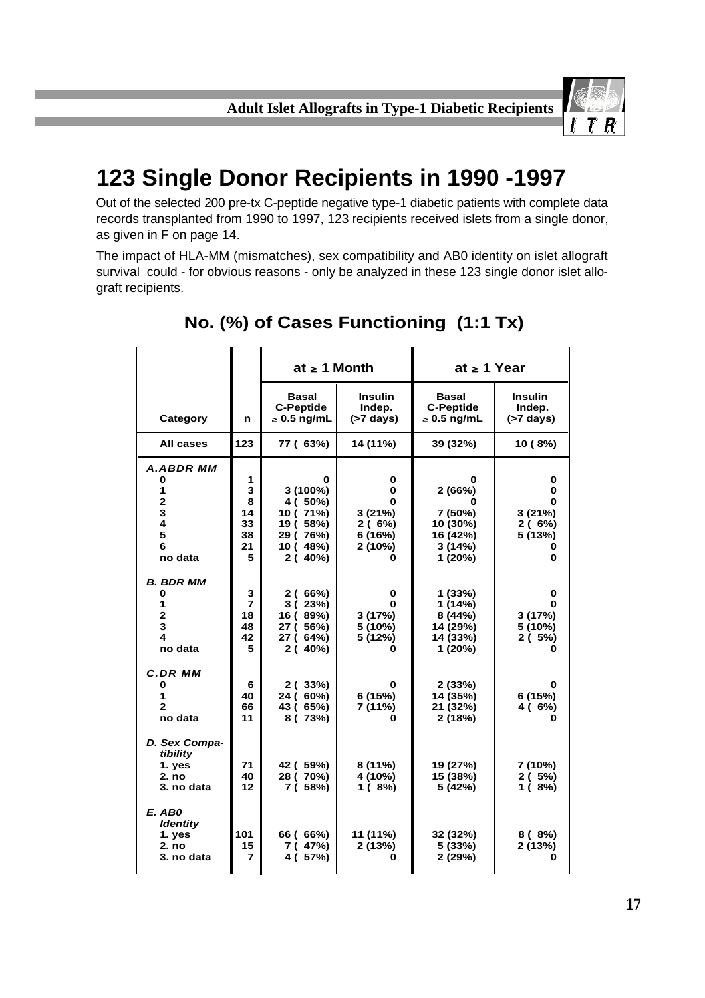

## **123 Single Donor Recipients in 1990 -1997**

Out of the selected 200 pre-tx C-peptide negative type-1 diabetic patients with complete data records transplanted from 1990 to 1997, 123 recipients received islets from a single donor, as given in F on page 14.

The impact of HLA-MM (mismatches), sex compatibility and AB0 identity on islet allograft survival could - for obvious reasons - only be analyzed in these 123 single donor islet allograft recipients.

|                                                                                 |                                                           | at $\geq 1$ Month                                                          |                                                      | at $\geq 1$ Year                                                         |                                             |
|---------------------------------------------------------------------------------|-----------------------------------------------------------|----------------------------------------------------------------------------|------------------------------------------------------|--------------------------------------------------------------------------|---------------------------------------------|
| Category                                                                        | n                                                         | <b>Basal</b><br><b>C-Peptide</b><br>$\geq 0.5$ ng/mL                       | <b>Insulin</b><br>Indep.<br>$(>7 \text{ days})$      | <b>Basal</b><br><b>C-Peptide</b><br>$\geq 0.5$ ng/mL                     | <b>Insulin</b><br>Indep.<br>$(>7$ days)     |
| All cases                                                                       | 123                                                       | 77 (63%)                                                                   | 14 (11%)                                             | 39 (32%)                                                                 | 10 (8%)                                     |
| A.ABDR MM<br>0<br>1<br>$\overline{2}$<br>3<br>$\overline{\mathbf{4}}$<br>5<br>6 | 1<br>3<br>8<br>14<br>33<br>38<br>21                       | 0<br>$3(100\%)$<br>4 (50%)<br>10 (71%)<br>19 (58%)<br>29 (76%)<br>10 (48%) | 0<br>0<br>0<br>3(21%)<br>2(6%)<br>6 (16%)<br>2 (10%) | 0<br>2(66%)<br>0<br>7 (50%)<br>10 (30%)<br>16 (42%)<br>3(14%)            | 0<br>0<br>0<br>3(21%)<br>2 ( 6%)<br>5 (13%) |
| no data<br><b>B. BDR MM</b><br>0<br>1<br>$\mathbf{2}$<br>3<br>4<br>no data      | 5<br>$\mathbf 3$<br>$\overline{7}$<br>18<br>48<br>42<br>5 | 2(40%)<br>2(66%)<br>3(23%)<br>16 (89%)<br>27 (56%)<br>27 (64%)<br>2(40%)   | 0<br>0<br>U<br>3(17%)<br>5 (10%)<br>5 (12%)<br>O     | 1 (20%)<br>1(33%)<br>1 (14%)<br>8(44%)<br>14 (29%)<br>14 (33%)<br>1(20%) | 0<br>0<br>0<br>3(17%)<br>5 (10%)<br>2(5%)   |
| <b>C.DR MM</b><br>0<br>1<br>2<br>no data                                        | 6<br>40<br>66<br>11                                       | 2(33%)<br>24 (60%)<br>43 (65%)<br>8 (73%)                                  | 0<br>6(15%)<br>7 (11%)<br>0                          | 2(33%)<br>14 (35%)<br>21 (32%)<br>2(18%)                                 | 0<br>6(15%)<br>4 ( 6%)                      |
| D. Sex Compa-<br>tibility<br>1. yes<br>2. no<br>3. no data                      | 71<br>40<br>12                                            | 42 ( 59%)<br>28 (70%)<br>7 (58%)                                           | 8(11%)<br>4 (10%)<br>1(8%)                           | 19 (27%)<br>15 (38%)<br>5 (42%)                                          | 7 (10%)<br>2(5%)<br>1(8%)                   |
| E. AB0<br><b>Identity</b><br>1. yes<br>2. no<br>3. no data                      | 101<br>15<br>7                                            | 66 ( 66%)<br>7 (47%)<br>4 ( 57%)                                           | 11 (11%)<br>2(13%)<br>0                              | 32 (32%)<br>5(33%)<br>2(29%)                                             | $8(8\%)$<br>2(13%)<br>o                     |

### **No. (%) of Cases Functioning (1:1 Tx)**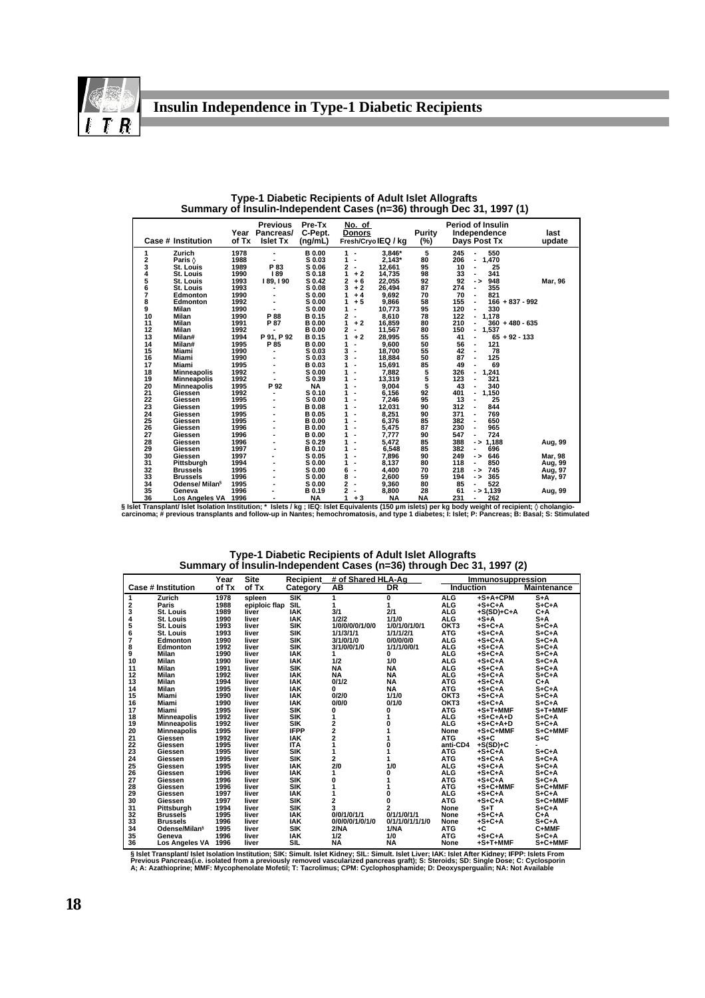

|    | <b>Case # Institution</b>  | of Tx | <b>Previous</b><br>Year Pancreas/<br><b>Islet Tx</b> | Pre-Tx<br>C-Pept.<br>(ng/mL) | No. of<br><b>Donors</b>       | Fresh/CryolEQ / kg | Purity<br>(%) | <b>Period of Insulin</b><br>Independence<br>Days Post Tx | last<br>update |
|----|----------------------------|-------|------------------------------------------------------|------------------------------|-------------------------------|--------------------|---------------|----------------------------------------------------------|----------------|
| 1  | Zurich                     | 1978  |                                                      | <b>B0.00</b>                 | 1<br>$\blacksquare$           | 3.846*             | 5             | 245<br>550                                               |                |
| 2  | Paris $\Diamond$           | 1988  | ٠                                                    | S 0.03                       | 1<br>$\blacksquare$           | $2.143*$           | 80            | 206<br>1.470<br>٠                                        |                |
| 3  | St. Louis                  | 1989  | P 83                                                 | S 0.06                       | 2<br>$\overline{\phantom{a}}$ | 12,661             | 95            | 10<br>25<br>٠                                            |                |
| 4  | St. Louis                  | 1990  | 189                                                  | S 0.18                       | $+2$<br>1                     | 14,735             | 98            | 341<br>33                                                |                |
| 5  | St. Louis                  | 1993  | 189.190                                              | S 0.42                       | 2<br>$+6$                     | 22.055             | 92            | 948<br>92<br>- >                                         | <b>Mar, 96</b> |
| 6  | St. Louis                  | 1993  |                                                      | S 0.08                       | 3<br>$+2$                     | 26,494             | 87            | 355<br>274<br>٠                                          |                |
| 7  | Edmonton                   | 1990  |                                                      | S 0.00                       | $+4$                          | 9,692              | 70            | 70<br>821<br>٠                                           |                |
| 8  | Edmonton                   | 1992  |                                                      | S 0.00                       | $+5$<br>1                     | 9,866              | 58            | 155<br>$166 + 837 - 992$<br>٠                            |                |
| 9  | Milan                      | 1990  |                                                      | S 0.00                       | 1<br>$\blacksquare$           | 10,773             | 95            | 120<br>330<br>÷.                                         |                |
| 10 | Milan                      | 1990  | P 88                                                 | B 0.15                       | 2<br>$\blacksquare$           | 8,610              | 78            | 122<br>$-1.178$                                          |                |
| 11 | <b>Milan</b>               | 1991  | P 87                                                 | <b>B</b> 0.00                | $+2$<br>1                     | 16.859             | 80            | 210<br>$360 + 480 - 635$<br>۰                            |                |
| 12 | Milan                      | 1992  | ٠                                                    | <b>B</b> 0.00                | 2<br>$\blacksquare$           | 11,567             | 80            | 150<br>1.537<br>۰                                        |                |
| 13 | Milan#                     | 1994  | P 91. P 92                                           | <b>B0.15</b>                 | 1<br>$+2$                     | 28,995             | 55            | $65 + 92 - 133$<br>41<br>$\blacksquare$                  |                |
| 14 | Milan#                     | 1995  | P 85                                                 | <b>B0.00</b>                 | 1<br>٠                        | 9,600              | 50            | 56<br>121<br>٠                                           |                |
| 15 | Miami                      | 1990  |                                                      | S 0.03                       | 3<br>$\blacksquare$           | 18,700             | 55            | 78<br>42<br>÷.                                           |                |
| 16 | Miami                      | 1990  |                                                      | S 0.03                       | 3<br>$\blacksquare$           | 18,884             | 50            | 125<br>87<br>ä,                                          |                |
| 17 | Miami                      | 1995  |                                                      | <b>B0.03</b>                 | 1<br>$\blacksquare$           | 15,691             | 85            | 49<br>69                                                 |                |
| 18 | Minneapolis                | 1992  |                                                      | S 0.00                       | ٠                             | 7,882              | 5             | 1,241<br>326<br>۰                                        |                |
| 19 | <b>Minneapolis</b>         | 1992  |                                                      | S 0.39                       | 1                             | 13,319             | 5             | 123<br>321                                               |                |
| 20 | <b>Minneapolis</b>         | 1995  | P 92                                                 | <b>NA</b>                    | 1                             | 9.004              | 5             | 43<br>340                                                |                |
| 21 | Giessen                    | 1992  |                                                      | S 0.10                       | 1<br>٠                        | 6,156              | 92            | 1,150<br>401<br>٠                                        |                |
| 22 | Giessen                    | 1995  |                                                      | S 0.00                       | 1<br>ä,                       | 7,246              | 95            | 25<br>13                                                 |                |
| 23 | Giessen                    | 1995  |                                                      | <b>B0.08</b>                 | 1<br>٠                        | 12,031             | 90            | 844<br>312<br>$\overline{a}$                             |                |
| 24 | Giessen                    | 1995  |                                                      | <b>B0.05</b>                 | 1<br>٠                        | 8,251              | 90            | 371<br>769<br>٠                                          |                |
| 25 | Giessen                    | 1995  |                                                      | <b>B0.00</b>                 | 1                             | 6,376              | 85            | 650<br>382<br>٠                                          |                |
| 26 | Giessen                    | 1996  |                                                      | <b>B0.00</b>                 | 1<br>٠                        | 5,475              | 87            | 965<br>230<br>٠                                          |                |
| 27 | Giessen                    | 1996  |                                                      | <b>B</b> 0.00                | 1<br>٠                        | 7,777              | 90            | 547<br>724<br>٠                                          |                |
| 28 | Giessen                    | 1996  |                                                      | S 0.29                       | 1                             | 5.472              | 85            | 388<br>$->1.188$                                         | Aug, 99        |
| 29 | Giessen                    | 1997  |                                                      | <b>B0.10</b>                 | 1<br>٠                        | 6,548              | 85            | 382<br>696<br>٠                                          |                |
| 30 | Giessen                    | 1997  |                                                      | S 0.05                       | 1<br>٠                        | 7,896              | 90            | 249<br>646<br>- >                                        | <b>Mar, 98</b> |
| 31 | Pittsburgh                 | 1994  |                                                      | S 0.00                       | 1<br>٠                        | 8,137              | 80            | 118<br>850<br>۰                                          | Aug, 99        |
| 32 | <b>Brussels</b>            | 1995  |                                                      | S 0.00                       | 6<br>$\blacksquare$           | 4.400              | 70            | 218<br>745<br>$\rightarrow$                              | Aug, 97        |
| 33 | <b>Brussels</b>            | 1996  |                                                      | S 0.00                       | 8<br>$\blacksquare$           | 2,600              | 59            | 194<br>365<br>$\rightarrow$                              | May, 97        |
| 34 | Odense/ Milan <sup>§</sup> | 1995  |                                                      | S 0.00                       | 2<br>$\blacksquare$           | 9,360              | 80            | 85<br>522<br>۰                                           |                |
| 35 | Geneva                     | 1996  |                                                      | <b>B0.19</b>                 | 2                             | 8,800              | 28            | $- > 1,139$<br>61                                        | Aug, 99        |
| 36 | Los Angeles VA             | 1996  |                                                      | <b>NA</b>                    | 1<br>$+3$                     | <b>NA</b>          | <b>NA</b>     | 231<br>262                                               |                |

**Type-1 Diabetic Recipients of Adult Islet Allografts Summary of Insulin-Independent Cases (n=36) through Dec 31, 1997 (1)**

**36 Los Angeles VA 1996 - NA 1 + 3 NA NA 231 - 262 § Islet Transplant/ Islet Isolation Institution; \* Islets / kg ; IEQ: Islet Equivalents (150 µm islets) per kg body weight of recipient; cholangio-carcinoma; # previous transplants and follow-up in Nantes; hemochromatosis, and type 1 diabetes; I: Islet; P: Pancreas; B: Basal; S: Stimulated**

**Type-1 Diabetic Recipients of Adult Islet Allografts Summary of Insulin-Independent Cases (n=36) through Dec 31, 1997 (2)**

|                           |                           | Year  | <b>Site</b>   | Recipient   | # of Shared HLA-Ag |                 | Immunosuppression |              |                                 |
|---------------------------|---------------------------|-------|---------------|-------------|--------------------|-----------------|-------------------|--------------|---------------------------------|
| <b>Case # Institution</b> |                           | of Tx | of Tx         | Category    | AВ                 | <b>DR</b>       | <b>Induction</b>  |              | <b>Maintenance</b>              |
| 1                         | Zurich                    | 1978  | spleen        | SIK         | 1                  | 0               | <b>ALG</b>        | +S+A+CPM     | $S+A$                           |
|                           | Paris                     | 1988  | epiploic flap | <b>SIL</b>  | 1                  |                 | <b>ALG</b>        | $+S+C+A$     | $S + C + A$                     |
| 23456                     | St. Louis                 | 1989  | liver         | <b>IAK</b>  | 3/1                | 2/1             | <b>ALG</b>        | $+S(SD)+C+A$ | $C+A$                           |
|                           | St. Louis                 | 1990  | liver         | <b>IAK</b>  | 1/2/2              | 1/1/0           | <b>ALG</b>        | $+S+A$       | $S+A$                           |
|                           | St. Louis                 | 1993  | liver         | <b>SIK</b>  | 1/0/0/0/0/1/0/0    | 1/0/1/0/1/0/1   | OKT3              | $+S+C+A$     | $S + C + A$                     |
|                           | St. Louis                 | 1993  | liver         | <b>SIK</b>  | 1/1/3/1/1          | 1/1/1/2/1       | <b>ATG</b>        | $+S+C+A$     | $S + C + A$                     |
| 7<br>8                    | Edmonton                  | 1990  | liver         | <b>SIK</b>  | 3/1/0/1/0          | 0/0/0/0/0       | <b>ALG</b>        | $+S+C+A$     | $S + C + A$                     |
|                           | Edmonton                  | 1992  | liver         | <b>SIK</b>  | 3/1/0/0/1/0        | 1/1/1/0/0/1     | <b>ALG</b>        | $+S+C+A$     | $S + C + A$                     |
| 9                         | Milan                     | 1990  | liver         | <b>IAK</b>  |                    | 0               | <b>ALG</b>        | $+S+C+A$     | $S + C + A$                     |
| 10                        | <b>Milan</b>              | 1990  | liver         | <b>IAK</b>  | 1/2                | 1/0             | <b>ALG</b>        | $+S+C+A$     | $S + C + A$                     |
| 11                        | Milan                     | 1991  | liver         | <b>SIK</b>  | <b>NA</b>          | <b>NA</b>       | <b>ALG</b>        | $+S+C+A$     | $S + C + A$                     |
| 12                        | Milan                     | 1992  | liver         | <b>IAK</b>  | <b>NA</b>          | <b>NA</b>       | <b>ALG</b>        | $+S+C+A$     | $S + C + A$                     |
| 13                        | Milan                     | 1994  | liver         | <b>IAK</b>  | 0/1/2              | <b>NA</b>       | <b>ATG</b>        | $+S+C+A$     | $C+A$                           |
| 14                        | <b>Milan</b>              | 1995  | liver         | <b>IAK</b>  | U                  | <b>NA</b>       | <b>ATG</b>        | $+S+C+A$     | $S + C + A$                     |
| 15                        | Miami                     | 1990  | liver         | <b>IAK</b>  | 0/2/0              | 1/1/0           | OKT3              | $+S+C+A$     | $S + C + A$                     |
| 16                        | Miami                     | 1990  | liver         | <b>IAK</b>  | 0/0/0              | 0/1/0           | OKT3              | $+S + C + A$ | S <sub>1</sub> C <sub>1</sub> A |
| 17                        | Miami                     | 1995  | liver         | <b>SIK</b>  | 0                  | 0               | <b>ATG</b>        | +S+T+MMF     | $S+T+MMF$                       |
| 18                        | <b>Minneapolis</b>        | 1992  | liver         | <b>SIK</b>  |                    |                 | <b>ALG</b>        | $+S+C+A+D$   | $S + C + A$                     |
| 19                        | <b>Minneapolis</b>        | 1992  | liver         | <b>SIK</b>  | 2                  | O               | <b>ALG</b>        | $+S+C+A+D$   | S <sub>1</sub> C <sub>1</sub> A |
| 20                        | <b>Minneapolis</b>        | 1995  | liver         | <b>IFPP</b> | 2                  |                 | None              | +S+C+MMF     | $S + C + MMF$                   |
| 21                        | Giessen                   | 1992  | liver         | <b>IAK</b>  | 2                  |                 | <b>ATG</b>        | $+S+C$       | $S+C$                           |
| 22                        | Giessen                   | 1995  | liver         | <b>ITA</b>  |                    |                 | anti-CD4          | $+S(SD)+C$   |                                 |
| 23                        | Giessen                   | 1995  | liver         | <b>SIK</b>  |                    |                 | <b>ATG</b>        | $+SiC+A$     | $S + C + A$                     |
| 24                        | Giessen                   | 1995  | liver         | <b>SIK</b>  | 2                  |                 | <b>ATG</b>        | $+S + C + A$ | S <sub>1</sub> C <sub>1</sub> A |
| 25                        | Giessen                   | 1995  | liver         | <b>IAK</b>  | 2/0                | 1/0             | <b>ALG</b>        | $+S+C+A$     | S <sub>1</sub> C <sub>1</sub> A |
| 26                        | Giessen                   | 1996  | liver         | <b>IAK</b>  | 1                  | U               | <b>ALG</b>        | $+S + C + A$ | S <sub>1</sub> C <sub>1</sub> A |
| 27                        | Giessen                   | 1996  | liver         | <b>SIK</b>  | O                  |                 | <b>ATG</b>        | $+S + C + A$ | S <sub>1</sub> C <sub>1</sub> A |
| 28                        | Giessen                   | 1996  | liver         | <b>SIK</b>  |                    |                 | <b>ATG</b>        | +S+C+MMF     | S+C+MMF                         |
| 29                        | Giessen                   | 1997  | liver         | <b>IAK</b>  |                    | 0               | <b>ALG</b>        | $+S + C + A$ | $S + C + A$                     |
| 30                        | Giessen                   | 1997  | liver         | <b>SIK</b>  | 2                  | 0               | <b>ATG</b>        | $+S+C+A$     | $S + C + MMF$                   |
| 31                        | Pittsburgh                | 1994  | liver         | <b>SIK</b>  | 3                  | 2               | None              | $S+T$        | $S + C + A$                     |
| 32                        | <b>Brussels</b>           | 1995  | liver         | <b>IAK</b>  | 0/0/1/0/1/1        | 0/1/1/0/1/1     | None              | $+S + C + A$ | $C+A$                           |
| 33                        | <b>Brussels</b>           | 1996  | liver         | <b>IAK</b>  | 0/0/0/0/1/0/1/0    | 0/1/1/0/1/1/1/0 | None              | $+S + C + A$ | $S + C + A$                     |
| 34                        | Odense/Milan <sup>§</sup> | 1995  | liver         | <b>SIK</b>  | 2/NA               | 1/NA            | <b>ATG</b>        | +C           | C+MMF                           |
| 35                        | Geneva                    | 1996  | liver         | <b>IAK</b>  | 1/2                | 1/0             | <b>ATG</b>        | $+S + C + A$ | $S + C + A$                     |
| 36                        | Los Angeles VA 1996       |       | liver         | <b>SIL</b>  | <b>NA</b>          | <b>NA</b>       | None              | $+S+T+MMF$   | S+C+MMF                         |

§ Islet Transplant/ Islet Isolation Institution; SIK: Simult. Islet Kidney; SIL: Simult. Islet Liver; IAK: Islet After Kidney; IFPP: Islets From<br>Previous Pancreas(i.e. isolated from a previously removed vascularized pancre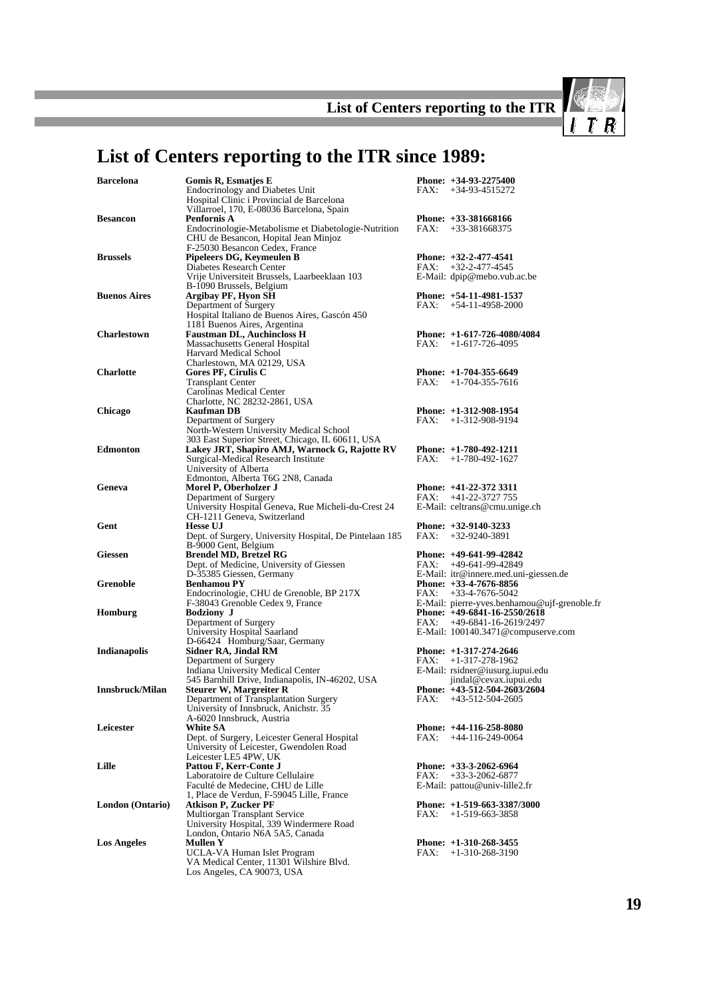List of Centers reporting to the ITR

 $\sqrt{I}$   $\overline{I}$   $\overline{R}$ 

## **List of Centers reporting to the ITR since 1989:**

| <b>Barcelona</b>    | Gomis R, Esmatjes E                                                                          |      | Phone: +34-93-2275400                                                        |
|---------------------|----------------------------------------------------------------------------------------------|------|------------------------------------------------------------------------------|
|                     | <b>Endocrinology and Diabetes Unit</b><br>Hospital Clinic i Provincial de Barcelona          | FAX: | $+34-93-4515272$                                                             |
|                     | Villarroel, 170, E-08036 Barcelona, Spain                                                    |      |                                                                              |
| <b>Besancon</b>     | Penfornis A                                                                                  |      | Phone: $+33-381668166$                                                       |
|                     | Endocrinologie-Metabolisme et Diabetologie-Nutrition<br>CHU de Besancon, Hopital Jean Minjoz |      | $FAX: +33-381668375$                                                         |
| <b>Brussels</b>     | F-25030 Besancon Cedex, France<br>Pipeleers DG, Keymeulen B                                  |      | Phone: $+32-2-477-4541$                                                      |
|                     | Diabetes Research Center                                                                     | FAX: | $+32 - 2 - 477 - 4545$                                                       |
|                     | Vrije Universiteit Brussels, Laarbeeklaan 103<br>B-1090 Brussels, Belgium                    |      | E-Mail: dpip@mebo.vub.ac.be                                                  |
| <b>Buenos Aires</b> | Argibay PF, Hyon SH                                                                          |      | Phone: +54-11-4981-1537                                                      |
|                     | Department of Surgery                                                                        |      | FAX: +54-11-4958-2000                                                        |
|                     | Hospital Italiano de Buenos Aires, Gascón 450                                                |      |                                                                              |
| <b>Charlestown</b>  | 1181 Buenos Aires, Argentina<br><b>Faustman DL, Auchincloss H</b>                            |      | Phone: $+1-617-726-4080/4084$                                                |
|                     | Massachusetts General Hospital                                                               | FAX: | $+1-617-726-4095$                                                            |
|                     | Harvard Medical School                                                                       |      |                                                                              |
|                     | Charlestown, MA 02129, USA                                                                   |      |                                                                              |
| <b>Charlotte</b>    | Gores PF, Cirulis C                                                                          |      | Phone: $+1-704-355-6649$                                                     |
|                     | <b>Transplant Center</b>                                                                     | FAX: | $+1-704-355-7616$                                                            |
|                     | Carolinas Medical Center<br>Charlotte, NC 28232-2861, USA                                    |      |                                                                              |
| Chicago             | Kaufman DB                                                                                   |      | Phone: $+1-312-908-1954$                                                     |
|                     | Department of Surgery                                                                        |      | $FAX: +1-312-908-9194$                                                       |
|                     | North-Western University Medical School                                                      |      |                                                                              |
|                     | 303 East Superior Street, Chicago, IL 60611, USA                                             |      |                                                                              |
| Edmonton            | Lakey JRT, Shapiro AMJ, Warnock G, Rajotte RV                                                |      | Phone: $+1-780-492-1211$                                                     |
|                     | Surgical-Medical Research Institute                                                          | FAX: | $+1-780-492-1627$                                                            |
|                     | University of Alberta<br>Edmonton, Alberta T6G 2N8, Canada                                   |      |                                                                              |
| Geneva              | Morel P, Oberholzer J                                                                        |      | Phone: $+41-22-372$ 3311                                                     |
|                     | Department of Surgery                                                                        |      | $FAX: +41-22-3727755$                                                        |
|                     | University Hospital Geneva, Rue Micheli-du-Crest 24                                          |      | E-Mail: celtrans@cmu.unige.ch                                                |
|                     | CH-1211 Geneva, Switzerland                                                                  |      |                                                                              |
| Gent                | <b>Hesse UJ</b>                                                                              | FAX: | Phone: $+32-9140-3233$                                                       |
|                     | Dept. of Surgery, University Hospital, De Pintelaan 185<br>B-9000 Gent, Belgium              |      | $+32-9240-3891$                                                              |
| Giessen             | <b>Brendel MD, Bretzel RG</b>                                                                |      | Phone: $+49-641-99-42842$                                                    |
|                     | Dept. of Medicine, University of Giessen                                                     | FAX: | +49-641-99-42849                                                             |
|                     | D-35385 Giessen, Germany                                                                     |      | E-Mail: itr@innere.med.uni-giessen.de                                        |
| Grenoble            | <b>Benhamou PY</b>                                                                           |      | Phone: $+33-4-7676-8856$                                                     |
|                     | Endocrinologie, CHU de Grenoble, BP 217X                                                     |      | $FAX: +33-4-7676-5042$                                                       |
| Homburg             | F-38043 Grenoble Cedex 9, France<br><b>Bodziony J</b>                                        |      | E-Mail: pierre-yves.benhamou@ujf-grenoble.fr<br>Phone: +49-6841-16-2550/2618 |
|                     | Department of Surgery                                                                        |      | FAX: $+49-6841-16-2619/2497$                                                 |
|                     | University Hospital Saarland                                                                 |      | E-Mail: 100140.3471@compuserve.com                                           |
|                     | D-66424 Homburg/Saar, Germany                                                                |      |                                                                              |
| Indianapolis        | Sidner RA, Jindal RM                                                                         |      | Phone: $+1-317-274-2646$                                                     |
|                     | Department of Surgery                                                                        |      | $FAX: +1-317-278-1962$                                                       |
|                     | Indiana University Medical Center                                                            |      | E-Mail: rsidner@iusurg.iupui.edu                                             |
| Innsbruck/Milan     | 545 Barnhill Drive, Indianapolis, IN-46202, USA<br><b>Steurer W, Margreiter R</b>            |      | jindal@cevax.iupui.edu<br>Phone: $+43-512-504-2603/2604$                     |
|                     | Department of Transplantation Surgery                                                        | FAX: | $+43-512-504-2605$                                                           |
|                     | University of Innsbruck, Anichstr. 35                                                        |      |                                                                              |
|                     | A-6020 Innsbruck, Austria                                                                    |      |                                                                              |
| Leicester           | <b>White SA</b>                                                                              |      | Phone: $+44-116-258-8080$                                                    |
|                     | Dept. of Surgery, Leicester General Hospital                                                 | FAX: | $+44-116-249-0064$                                                           |
|                     | University of Leicester, Gwendolen Road<br>Leicester LE5 4PW, UK                             |      |                                                                              |
| Lille               | Pattou F, Kerr-Conte J                                                                       |      | Phone: $+33-3-2062-6964$                                                     |
|                     | Laboratoire de Culture Cellulaire                                                            | FAX: | $+33-3-2062-6877$                                                            |
|                     | Faculté de Medecine, CHU de Lille                                                            |      | E-Mail: pattou@univ-lille2.fr                                                |
|                     | 1, Place de Verdun, F-59045 Lille, France                                                    |      |                                                                              |
| London (Ontario)    | <b>Atkison P, Zucker PF</b>                                                                  |      | Phone: $+1-519-663-3387/3000$                                                |
|                     | Multiorgan Transplant Service<br>University Hospital, 339 Windermere Road                    | FAX: | $+1-519-663-3858$                                                            |
|                     | London, Ontario N6A 5A5, Canada                                                              |      |                                                                              |
| <b>Los Angeles</b>  | <b>Mullen Y</b>                                                                              |      | Phone: $+1-310-268-3455$                                                     |
|                     | UCLA-VA Human Islet Program                                                                  | FAX: | $+1-310-268-3190$                                                            |
|                     | VA Medical Center, 11301 Wilshire Blvd.                                                      |      |                                                                              |
|                     | Los Angeles, CA 90073, USA                                                                   |      |                                                                              |